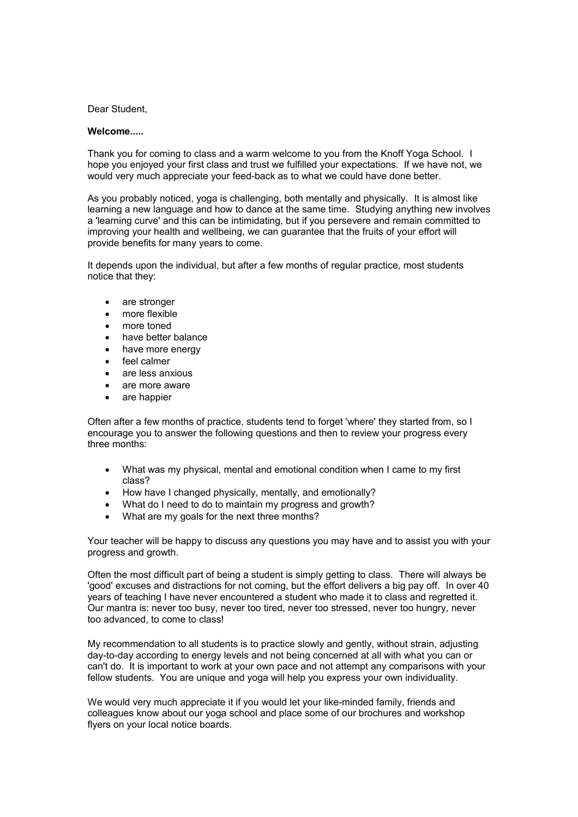## Dear Student,

## **Welcome.....**

Thank you for coming to class and a warm welcome to you from the Knoff Yoga School. I hope you enjoyed your first class and trust we fulfilled your expectations. If we have not, we would very much appreciate your feed-back as to what we could have done better.

As you probably noticed, yoga is challenging, both mentally and physically. It is almost like learning a new language and how to dance at the same time. Studying anything new involves a 'learning curve' and this can be intimidating, but if you persevere and remain committed to improving your health and wellbeing, we can guarantee that the fruits of your effort will provide benefits for many years to come.

It depends upon the individual, but after a few months of regular practice, most students notice that they:

- are stronger
- more flexible
- more toned
- have better balance
- have more energy
- feel calmer
- are less anxious
- are more aware
- are happier

Often after a few months of practice, students tend to forget 'where' they started from, so I encourage you to answer the following questions and then to review your progress every three months:

- What was my physical, mental and emotional condition when I came to my first class?
- How have I changed physically, mentally, and emotionally?
- What do I need to do to maintain my progress and growth?
- What are my goals for the next three months?

Your teacher will be happy to discuss any questions you may have and to assist you with your progress and growth.

Often the most difficult part of being a student is simply getting to class. There will always be 'good' excuses and distractions for not coming, but the effort delivers a big pay off. In over 40 years of teaching I have never encountered a student who made it to class and regretted it. Our mantra is: never too busy, never too tired, never too stressed, never too hungry, never too advanced, to come to class!

My recommendation to all students is to practice slowly and gently, without strain, adjusting day-to-day according to energy levels and not being concerned at all with what you can or can't do. It is important to work at your own pace and not attempt any comparisons with your fellow students. You are unique and yoga will help you express your own individuality.

We would very much appreciate it if you would let your like-minded family, friends and colleagues know about our yoga school and place some of our brochures and workshop flyers on your local notice boards.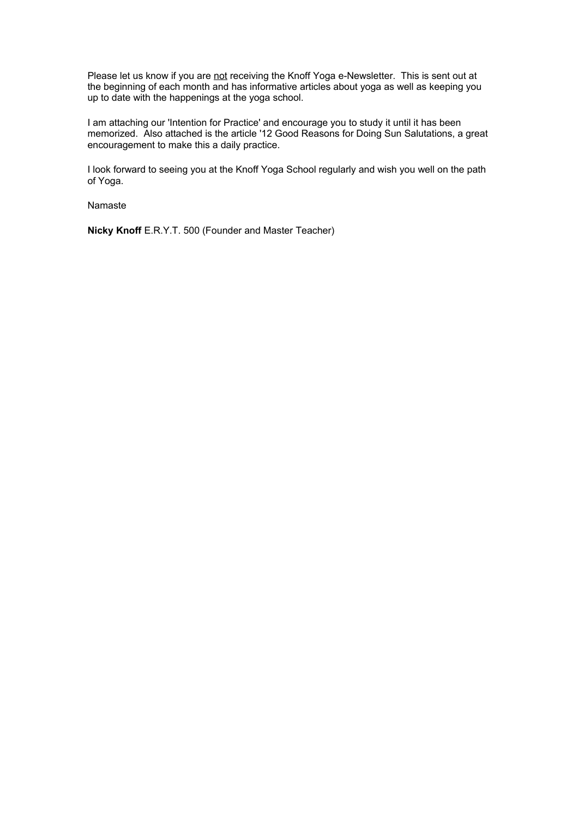Please let us know if you are not receiving the Knoff Yoga e-Newsletter. This is sent out at the beginning of each month and has informative articles about yoga as well as keeping you up to date with the happenings at the yoga school.

I am attaching our 'Intention for Practice' and encourage you to study it until it has been memorized. Also attached is the article '12 Good Reasons for Doing Sun Salutations, a great encouragement to make this a daily practice.

I look forward to seeing you at the Knoff Yoga School regularly and wish you well on the path of Yoga.

Namaste

**Nicky Knoff** E.R.Y.T. 500 (Founder and Master Teacher)